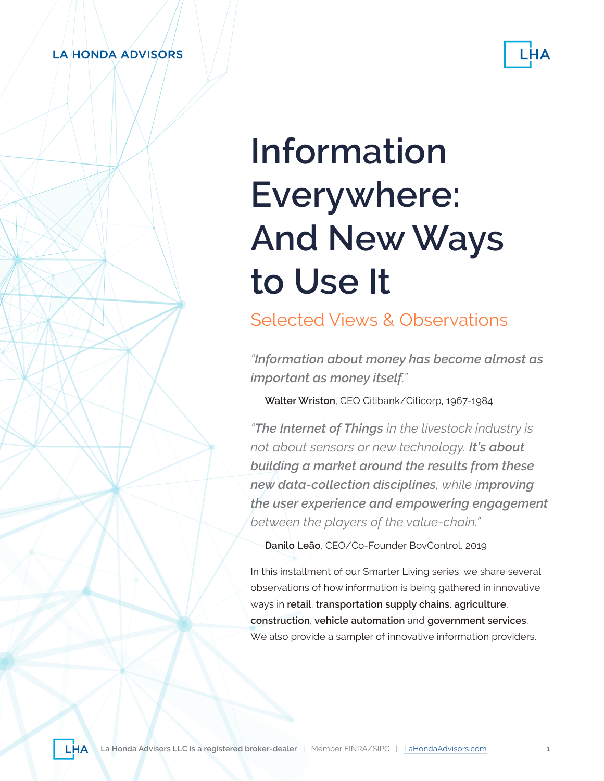#### **LA HONDA ADVISORS**



# **Information Everywhere: And New Ways to Use It**

Selected Views & Observations

*"Information about money has become almost as important as money itself."*

**Walter Wriston**, CEO Citibank/Citicorp, 1967-1984

*"The Internet of Things in the livestock industry is not about sensors or new technology. It's about building a market around the results from these new data-collection disciplines, while improving the user experience and empowering engagement between the players of the value-chain."*

**Danilo Leão**, CEO/Co-Founder BovControl, 2019

In this installment of our Smarter Living series, we share several observations of how information is being gathered in innovative ways in **retail**, **transportation supply chains**, **agriculture**, **construction**, **vehicle automation** and **government services**. We also provide a sampler of innovative information providers.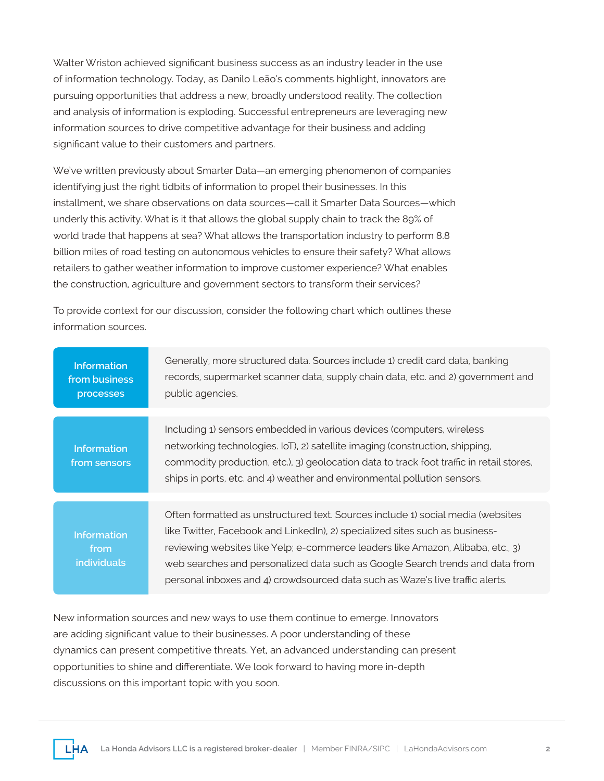Walter Wriston achieved significant business success as an industry leader in the use of information technology. Today, as Danilo Leão's comments highlight, innovators are pursuing opportunities that address a new, broadly understood reality. The collection and analysis of information is exploding. Successful entrepreneurs are leveraging new information sources to drive competitive advantage for their business and adding significant value to their customers and partners.

We've written previously about Smarter Data—an emerging phenomenon of companies identifying just the right tidbits of information to propel their businesses. In this installment, we share observations on data sources—call it Smarter Data Sources—which underly this activity. What is it that allows the global supply chain to track the 89% of world trade that happens at sea? What allows the transportation industry to perform 8.8 billion miles of road testing on autonomous vehicles to ensure their safety? What allows retailers to gather weather information to improve customer experience? What enables the construction, agriculture and government sectors to transform their services?

To provide context for our discussion, consider the following chart which outlines these information sources.

| <b>Information</b><br>from business<br>processes | Generally, more structured data. Sources include 1) credit card data, banking<br>records, supermarket scanner data, supply chain data, etc. and 2) government and<br>public agencies.                                                                                                                                                                                                                                |
|--------------------------------------------------|----------------------------------------------------------------------------------------------------------------------------------------------------------------------------------------------------------------------------------------------------------------------------------------------------------------------------------------------------------------------------------------------------------------------|
|                                                  |                                                                                                                                                                                                                                                                                                                                                                                                                      |
| <b>Information</b><br>from sensors               | Including 1) sensors embedded in various devices (computers, wireless<br>networking technologies. IoT), 2) satellite imaging (construction, shipping,<br>commodity production, etc.), 3) geolocation data to track foot traffic in retail stores,<br>ships in ports, etc. and 4) weather and environmental pollution sensors.                                                                                        |
|                                                  |                                                                                                                                                                                                                                                                                                                                                                                                                      |
| <b>Information</b><br>from<br>individuals        | Often formatted as unstructured text. Sources include 1) social media (websites<br>like Twitter, Facebook and LinkedIn), 2) specialized sites such as business-<br>reviewing websites like Yelp; e-commerce leaders like Amazon, Alibaba, etc., 3)<br>web searches and personalized data such as Google Search trends and data from<br>personal inboxes and 4) crowdsourced data such as Waze's live traffic alerts. |

New information sources and new ways to use them continue to emerge. Innovators are adding significant value to their businesses. A poor understanding of these dynamics can present competitive threats. Yet, an advanced understanding can present opportunities to shine and differentiate. We look forward to having more in-depth discussions on this important topic with you soon.

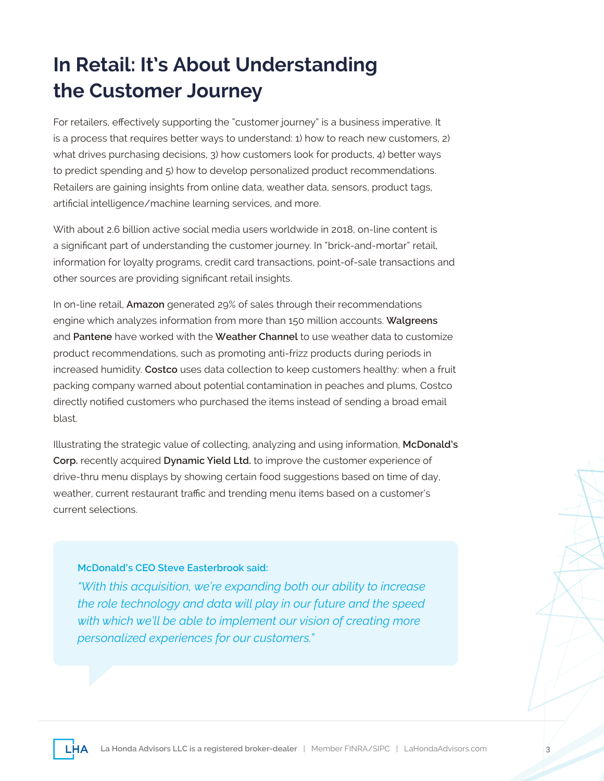# **In Retail: It's About Understanding the Customer Journey**

For retailers, effectively supporting the "customer journey" is a business imperative. It is a process that requires better ways to understand: 1) how to reach new customers, 2) what drives purchasing decisions, 3) how customers look for products, 4) better ways to predict spending and 5) how to develop personalized product recommendations. Retailers are gaining insights from online data, weather data, sensors, product tags, artificial intelligence/machine learning services, and more.

With about 2.6 billion active social media users worldwide in 2018, on-line content is a significant part of understanding the customer journey. In "brick-and-mortar" retail, information for loyalty programs, credit card transactions, point-of-sale transactions and other sources are providing significant retail insights.

In on-line retail, **Amazon** generated 29% of sales through their recommendations engine which analyzes information from more than 150 million accounts. **Walgreens** and **Pantene** have worked with the **Weather Channel** to use weather data to customize product recommendations, such as promoting anti-frizz products during periods in increased humidity. **Costco** uses data collection to keep customers healthy: when a fruit packing company warned about potential contamination in peaches and plums, Costco directly notified customers who purchased the items instead of sending a broad email blast.

Illustrating the strategic value of collecting, analyzing and using information, **McDonald's Corp.** recently acquired **Dynamic Yield Ltd.** to improve the customer experience of drive-thru menu displays by showing certain food suggestions based on time of day, weather, current restaurant traffic and trending menu items based on a customer's current selections.

#### **McDonald's CEO Steve Easterbrook said:**

*"With this acquisition, we're expanding both our ability to increase the role technology and data will play in our future and the speed with which we'll be able to implement our vision of creating more personalized experiences for our customers."* 

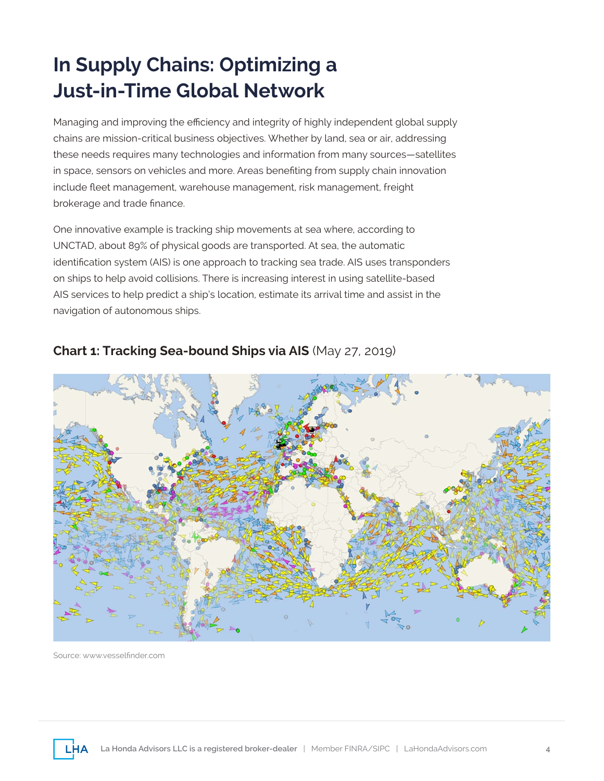# **In Supply Chains: Optimizing a Just-in-Time Global Network**

Managing and improving the efficiency and integrity of highly independent global supply chains are mission-critical business objectives. Whether by land, sea or air, addressing these needs requires many technologies and information from many sources—satellites in space, sensors on vehicles and more. Areas benefiting from supply chain innovation include fleet management, warehouse management, risk management, freight brokerage and trade finance.

One innovative example is tracking ship movements at sea where, according to UNCTAD, about 89% of physical goods are transported. At sea, the automatic identification system (AIS) is one approach to tracking sea trade. AIS uses transponders on ships to help avoid collisions. There is increasing interest in using satellite-based AIS services to help predict a ship's location, estimate its arrival time and assist in the navigation of autonomous ships.



#### **Chart 1: Tracking Sea-bound Ships via AIS** (May 27, 2019)

Source: www.vesselfinder.com

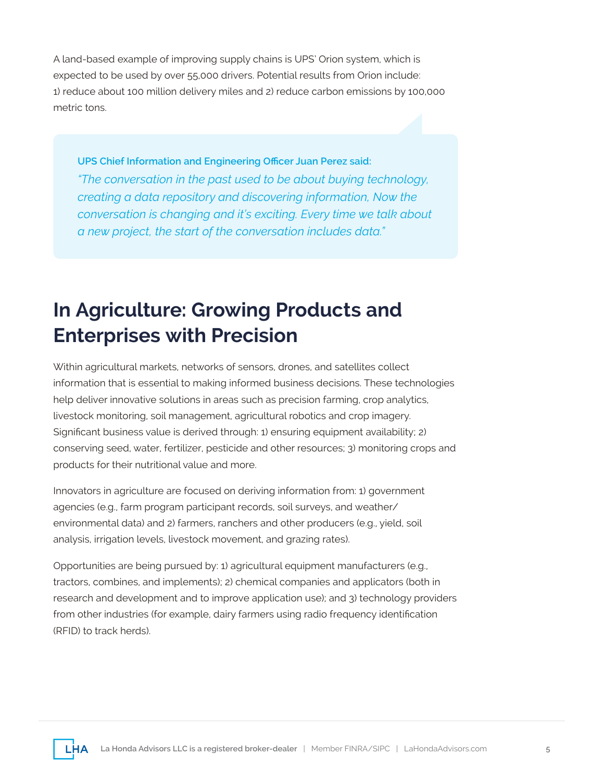A land-based example of improving supply chains is UPS' Orion system, which is expected to be used by over 55,000 drivers. Potential results from Orion include: 1) reduce about 100 million delivery miles and 2) reduce carbon emissions by 100,000 metric tons.

**UPS Chief Information and Engineering Officer Juan Perez said:**  *"The conversation in the past used to be about buying technology, creating a data repository and discovering information, Now the conversation is changing and it's exciting. Every time we talk about a new project, the start of the conversation includes data."* 

## **In Agriculture: Growing Products and Enterprises with Precision**

Within agricultural markets, networks of sensors, drones, and satellites collect information that is essential to making informed business decisions. These technologies help deliver innovative solutions in areas such as precision farming, crop analytics, livestock monitoring, soil management, agricultural robotics and crop imagery. Significant business value is derived through: 1) ensuring equipment availability; 2) conserving seed, water, fertilizer, pesticide and other resources; 3) monitoring crops and products for their nutritional value and more.

Innovators in agriculture are focused on deriving information from: 1) government agencies (e.g., farm program participant records, soil surveys, and weather/ environmental data) and 2) farmers, ranchers and other producers (e.g., yield, soil analysis, irrigation levels, livestock movement, and grazing rates).

Opportunities are being pursued by: 1) agricultural equipment manufacturers (e.g., tractors, combines, and implements); 2) chemical companies and applicators (both in research and development and to improve application use); and 3) technology providers from other industries (for example, dairy farmers using radio frequency identification (RFID) to track herds).

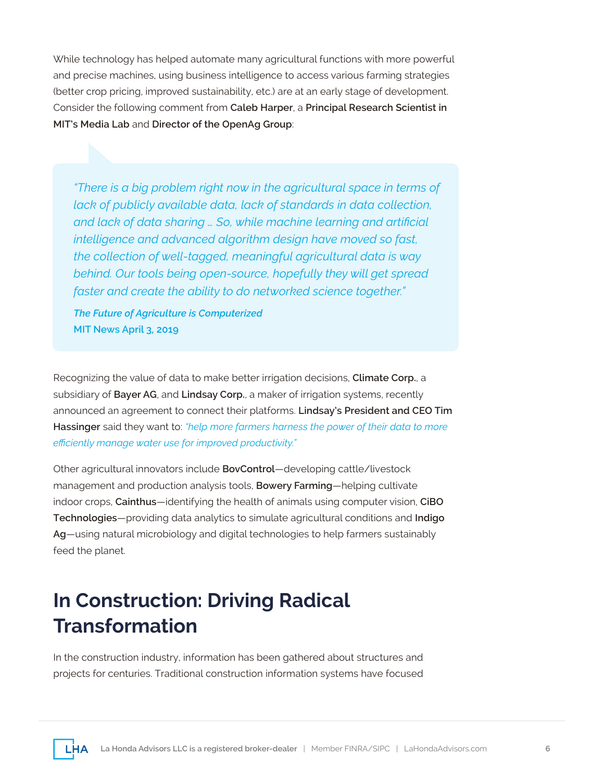While technology has helped automate many agricultural functions with more powerful and precise machines, using business intelligence to access various farming strategies (better crop pricing, improved sustainability, etc.) are at an early stage of development. Consider the following comment from **Caleb Harper**, a **Principal Research Scientist in MIT's Media Lab** and **Director of the OpenAg Group**:

*"There is a big problem right now in the agricultural space in terms of lack of publicly available data, lack of standards in data collection, and lack of data sharing … So, while machine learning and artificial intelligence and advanced algorithm design have moved so fast, the collection of well-tagged, meaningful agricultural data is way behind. Our tools being open-source, hopefully they will get spread faster and create the ability to do networked science together."*

*The Future of Agriculture is Computerized* **MIT News April 3, 2019**

Recognizing the value of data to make better irrigation decisions, **Climate Corp.**, a subsidiary of **Bayer AG**, and **Lindsay Corp.**, a maker of irrigation systems, recently announced an agreement to connect their platforms. **Lindsay's President and CEO Tim Hassinger** said they want to: *"help more farmers harness the power of their data to more efficiently manage water use for improved productivity."*

Other agricultural innovators include **BovControl**—developing cattle/livestock management and production analysis tools, **Bowery Farming**—helping cultivate indoor crops, **Cainthus**—identifying the health of animals using computer vision, **CiBO Technologies**—providing data analytics to simulate agricultural conditions and **Indigo Ag**—using natural microbiology and digital technologies to help farmers sustainably feed the planet.

### **In Construction: Driving Radical Transformation**

In the construction industry, information has been gathered about structures and projects for centuries. Traditional construction information systems have focused

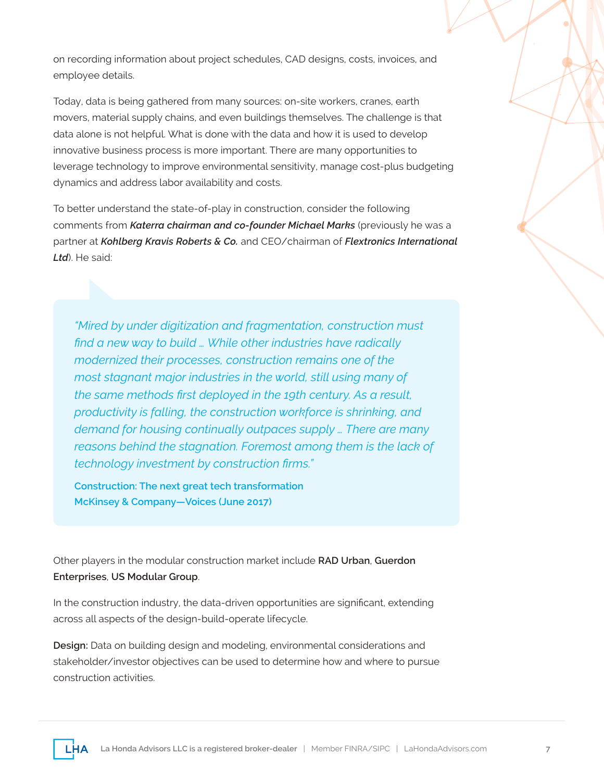on recording information about project schedules, CAD designs, costs, invoices, and employee details.

Today, data is being gathered from many sources: on-site workers, cranes, earth movers, material supply chains, and even buildings themselves. The challenge is that data alone is not helpful. What is done with the data and how it is used to develop innovative business process is more important. There are many opportunities to leverage technology to improve environmental sensitivity, manage cost-plus budgeting dynamics and address labor availability and costs.

To better understand the state-of-play in construction, consider the following comments from *Katerra chairman and co-founder Michael Marks* (previously he was a partner at *Kohlberg Kravis Roberts & Co.* and CEO/chairman of *Flextronics International Ltd*). He said:

*"Mired by under digitization and fragmentation, construction must find a new way to build … While other industries have radically modernized their processes, construction remains one of the most stagnant major industries in the world, still using many of the same methods first deployed in the 19th century. As a result, productivity is falling, the construction workforce is shrinking, and demand for housing continually outpaces supply … There are many reasons behind the stagnation. Foremost among them is the lack of technology investment by construction firms."*

**Construction: The next great tech transformation McKinsey & Company—Voices (June 2017)**

Other players in the modular construction market include **RAD Urban**, **Guerdon Enterprises**, **US Modular Group**.

In the construction industry, the data-driven opportunities are significant, extending across all aspects of the design-build-operate lifecycle.

**Design:** Data on building design and modeling, environmental considerations and stakeholder/investor objectives can be used to determine how and where to pursue construction activities.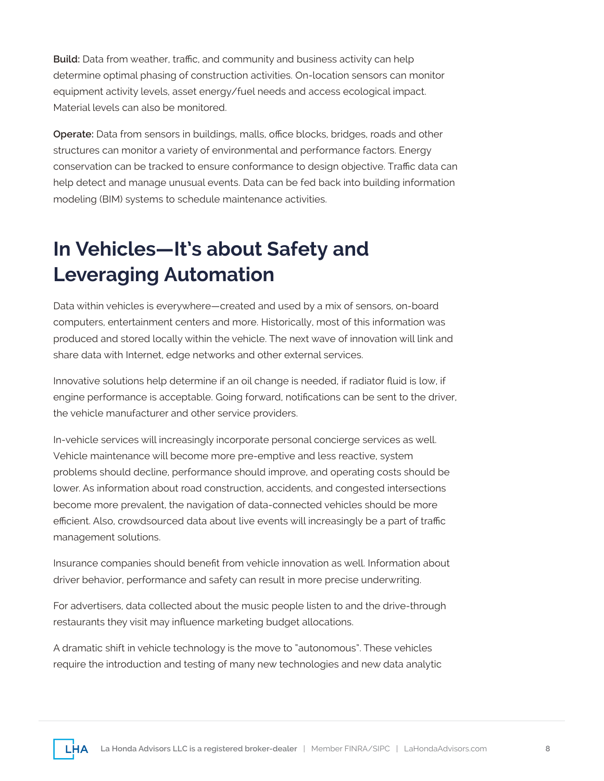**Build:** Data from weather, traffic, and community and business activity can help determine optimal phasing of construction activities. On-location sensors can monitor equipment activity levels, asset energy/fuel needs and access ecological impact. Material levels can also be monitored.

**Operate:** Data from sensors in buildings, malls, office blocks, bridges, roads and other structures can monitor a variety of environmental and performance factors. Energy conservation can be tracked to ensure conformance to design objective. Traffic data can help detect and manage unusual events. Data can be fed back into building information modeling (BIM) systems to schedule maintenance activities.

# **In Vehicles—It's about Safety and Leveraging Automation**

Data within vehicles is everywhere—created and used by a mix of sensors, on-board computers, entertainment centers and more. Historically, most of this information was produced and stored locally within the vehicle. The next wave of innovation will link and share data with Internet, edge networks and other external services.

Innovative solutions help determine if an oil change is needed, if radiator fluid is low, if engine performance is acceptable. Going forward, notifications can be sent to the driver, the vehicle manufacturer and other service providers.

In-vehicle services will increasingly incorporate personal concierge services as well. Vehicle maintenance will become more pre-emptive and less reactive, system problems should decline, performance should improve, and operating costs should be lower. As information about road construction, accidents, and congested intersections become more prevalent, the navigation of data-connected vehicles should be more efficient. Also, crowdsourced data about live events will increasingly be a part of traffic management solutions.

Insurance companies should benefit from vehicle innovation as well. Information about driver behavior, performance and safety can result in more precise underwriting.

For advertisers, data collected about the music people listen to and the drive-through restaurants they visit may influence marketing budget allocations.

A dramatic shift in vehicle technology is the move to "autonomous". These vehicles require the introduction and testing of many new technologies and new data analytic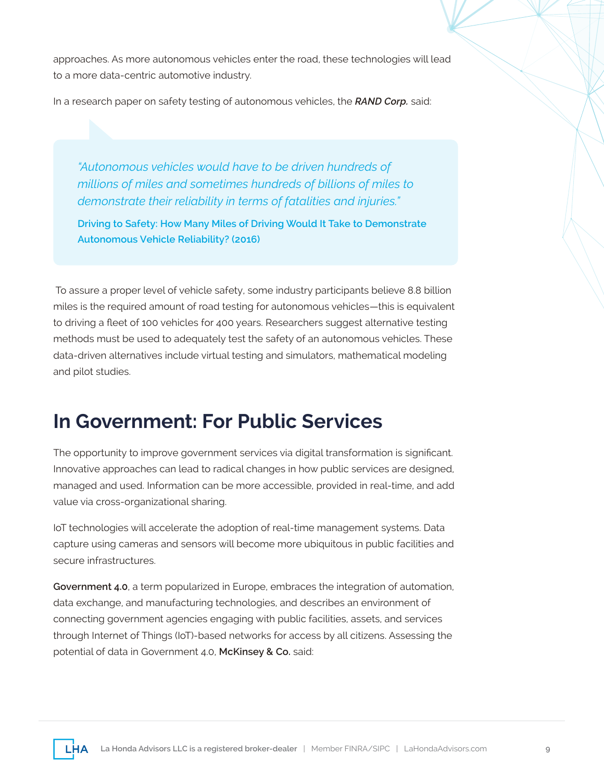approaches. As more autonomous vehicles enter the road, these technologies will lead to a more data-centric automotive industry.

In a research paper on safety testing of autonomous vehicles, the *RAND Corp.* said:

*"Autonomous vehicles would have to be driven hundreds of millions of miles and sometimes hundreds of billions of miles to demonstrate their reliability in terms of fatalities and injuries."* 

**Driving to Safety: How Many Miles of Driving Would It Take to Demonstrate Autonomous Vehicle Reliability? (2016)**

 To assure a proper level of vehicle safety, some industry participants believe 8.8 billion miles is the required amount of road testing for autonomous vehicles—this is equivalent to driving a fleet of 100 vehicles for 400 years. Researchers suggest alternative testing methods must be used to adequately test the safety of an autonomous vehicles. These data-driven alternatives include virtual testing and simulators, mathematical modeling and pilot studies.

#### **In Government: For Public Services**

The opportunity to improve government services via digital transformation is significant. Innovative approaches can lead to radical changes in how public services are designed, managed and used. Information can be more accessible, provided in real-time, and add value via cross-organizational sharing.

IoT technologies will accelerate the adoption of real-time management systems. Data capture using cameras and sensors will become more ubiquitous in public facilities and secure infrastructures.

**Government 4.0**, a term popularized in Europe, embraces the integration of automation, data exchange, and manufacturing technologies, and describes an environment of connecting government agencies engaging with public facilities, assets, and services through Internet of Things (IoT)-based networks for access by all citizens. Assessing the potential of data in Government 4.0, **McKinsey & Co.** said:

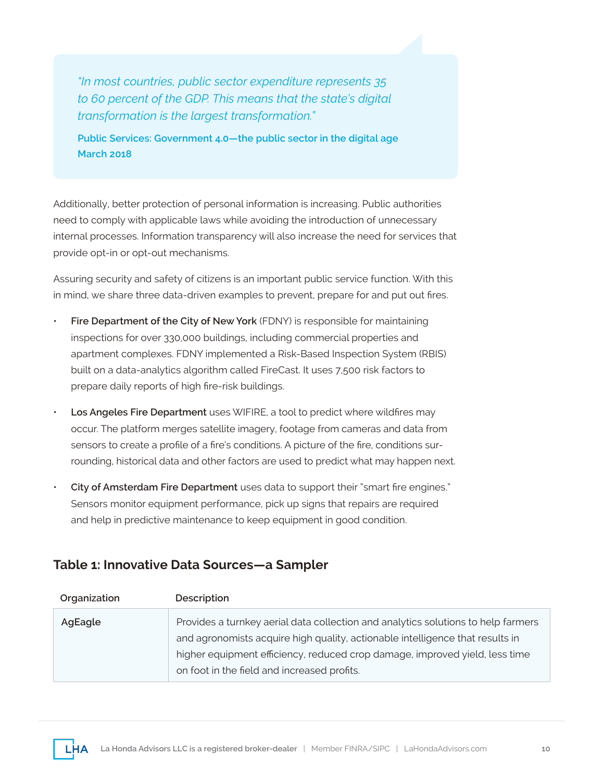*"In most countries, public sector expenditure represents 35 to 60 percent of the GDP. This means that the state's digital transformation is the largest transformation."* 

**Public Services: Government 4.0—the public sector in the digital age March 2018**

Additionally, better protection of personal information is increasing. Public authorities need to comply with applicable laws while avoiding the introduction of unnecessary internal processes. Information transparency will also increase the need for services that provide opt-in or opt-out mechanisms.

Assuring security and safety of citizens is an important public service function. With this in mind, we share three data-driven examples to prevent, prepare for and put out fires.

- **Fire Department of the City of New York** (FDNY) is responsible for maintaining inspections for over 330,000 buildings, including commercial properties and apartment complexes. FDNY implemented a Risk-Based Inspection System (RBIS) built on a data-analytics algorithm called FireCast. It uses 7,500 risk factors to prepare daily reports of high fire-risk buildings.
- **Los Angeles Fire Department** uses WIFIRE, a tool to predict where wildfires may occur. The platform merges satellite imagery, footage from cameras and data from sensors to create a profile of a fire's conditions. A picture of the fire, conditions surrounding, historical data and other factors are used to predict what may happen next.
- **City of Amsterdam Fire Department** uses data to support their "smart fire engines." Sensors monitor equipment performance, pick up signs that repairs are required and help in predictive maintenance to keep equipment in good condition.

#### **Table 1: Innovative Data Sources—a Sampler**

| Organization | Description                                                                                                                                                                                                                                                                                      |
|--------------|--------------------------------------------------------------------------------------------------------------------------------------------------------------------------------------------------------------------------------------------------------------------------------------------------|
| AgEagle      | Provides a turnkey aerial data collection and analytics solutions to help farmers<br>and agronomists acquire high quality, actionable intelligence that results in<br>higher equipment efficiency, reduced crop damage, improved yield, less time<br>on foot in the field and increased profits. |
|              |                                                                                                                                                                                                                                                                                                  |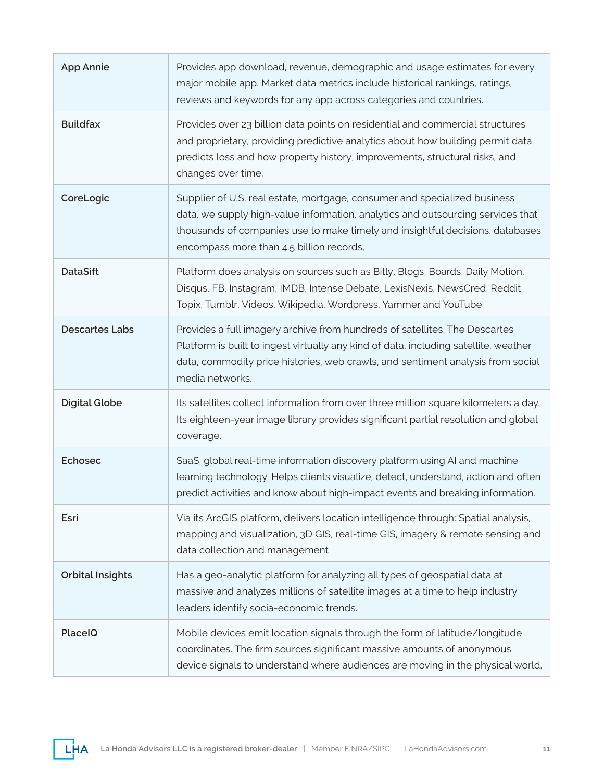| <b>App Annie</b>        | Provides app download, revenue, demographic and usage estimates for every<br>major mobile app. Market data metrics include historical rankings, ratings,<br>reviews and keywords for any app across categories and countries.                                                             |
|-------------------------|-------------------------------------------------------------------------------------------------------------------------------------------------------------------------------------------------------------------------------------------------------------------------------------------|
| <b>Buildfax</b>         | Provides over 23 billion data points on residential and commercial structures<br>and proprietary, providing predictive analytics about how building permit data<br>predicts loss and how property history, improvements, structural risks, and<br>changes over time.                      |
| CoreLogic               | Supplier of U.S. real estate, mortgage, consumer and specialized business<br>data, we supply high-value information, analytics and outsourcing services that<br>thousands of companies use to make timely and insightful decisions. databases<br>encompass more than 4.5 billion records, |
| <b>DataSift</b>         | Platform does analysis on sources such as Bitly, Blogs, Boards, Daily Motion,<br>Disqus, FB, Instagram, IMDB, Intense Debate, LexisNexis, NewsCred, Reddit,<br>Topix, Tumblr, Videos, Wikipedia, Wordpress, Yammer and YouTube.                                                           |
| <b>Descartes Labs</b>   | Provides a full imagery archive from hundreds of satellites. The Descartes<br>Platform is built to ingest virtually any kind of data, including satellite, weather<br>data, commodity price histories, web crawls, and sentiment analysis from social<br>media networks.                  |
| <b>Digital Globe</b>    | Its satellites collect information from over three million square kilometers a day.<br>Its eighteen-year image library provides significant partial resolution and global<br>coverage.                                                                                                    |
| <b>Echosec</b>          | SaaS, global real-time information discovery platform using AI and machine<br>learning technology. Helps clients visualize, detect, understand, action and often<br>predict activities and know about high-impact events and breaking information.                                        |
| Esri                    | Via its ArcGIS platform, delivers location intelligence through: Spatial analysis,<br>mapping and visualization, 3D GIS, real-time GIS, imagery & remote sensing and<br>data collection and management                                                                                    |
| <b>Orbital Insights</b> | Has a geo-analytic platform for analyzing all types of geospatial data at<br>massive and analyzes millions of satellite images at a time to help industry<br>leaders identify socia-economic trends.                                                                                      |
| PlaceIQ                 | Mobile devices emit location signals through the form of latitude/longitude<br>coordinates. The firm sources significant massive amounts of anonymous<br>device signals to understand where audiences are moving in the physical world.                                                   |

**LHA**